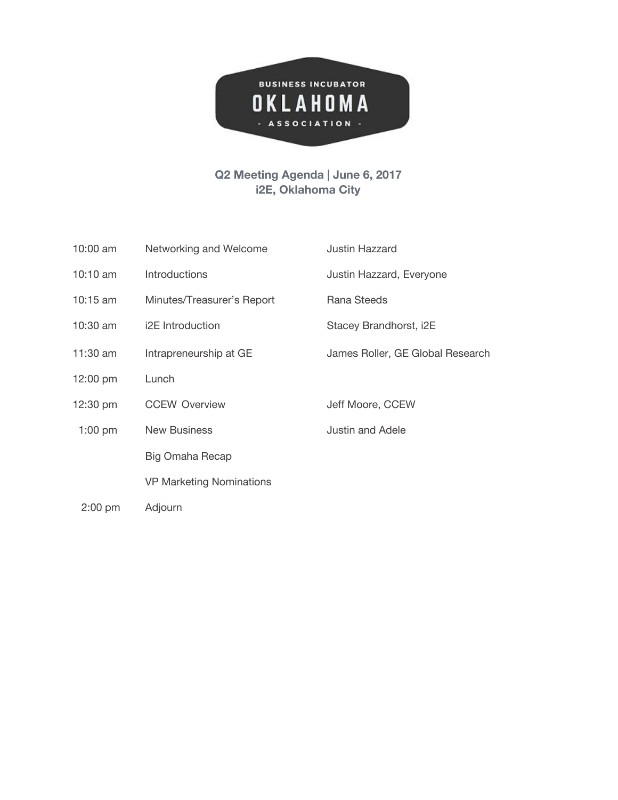

## **Q2 Meeting Agenda | June 6, 2017 i2E, Oklahoma City**

| $10:00$ am | Networking and Welcome          | <b>Justin Hazzard</b>            |
|------------|---------------------------------|----------------------------------|
| 10:10 am   | Introductions                   | Justin Hazzard, Everyone         |
| 10:15 $am$ | Minutes/Treasurer's Report      | Rana Steeds                      |
| 10:30 am   | i2E Introduction                | Stacey Brandhorst, i2E           |
| 11:30 am   | Intrapreneurship at GE          | James Roller, GE Global Research |
| 12:00 pm   | Lunch                           |                                  |
| 12:30 pm   | <b>CCEW Overview</b>            | Jeff Moore, CCEW                 |
| $1:00$ pm  | <b>New Business</b>             | <b>Justin and Adele</b>          |
|            | Big Omaha Recap                 |                                  |
|            | <b>VP Marketing Nominations</b> |                                  |
| $2:00$ pm  | Adjourn                         |                                  |